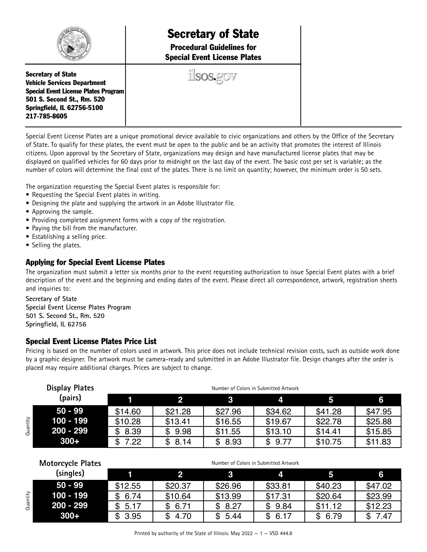

# Secretary of State

Procedural Guidelines for Special Event License Plates

ilsos.gov

Secretary of State Vehicle Services Department Special Event License Plates Program 501 S. Second St., Rm. 520 Springfield, IL 62756-5100 217-785-8605

Special Event License Plates are a unique promotional device available to civic organizations and others by the Office of the Secretary of State. To qualify for these plates, the event must be open to the public and be an activity that promotes the interest of Illinois citizens. Upon approval by the Secretary of State, organizations may design and have manufactured license plates that may be displayed on qualified vehicles for 60 days prior to midnight on the last day of the event. The basic cost per set is variable; as the number of colors will determine the final cost of the plates. There is no limit on quantity; however, the minimum order is 50 sets.

The organization requesting the Special Event plates is responsible for:

- Requesting the Special Event plates in writing.
- Designing the plate and supplying the artwork in an Adobe Illustrator file.
- Approving the sample.
- Providing completed assignment forms with a copy of the registration.
- Paying the bill from the manufacturer.
- Establishing a selling price.
- Selling the plates.

# Applying for Special Event License Plates

The organization must submit a letter six months prior to the event requesting authorization to issue Special Event plates with a brief description of the event and the beginning and ending dates of the event. Please direct all correspondence, artwork, registration sheets and inquiries to:

**Secretary of State Special Event License Plates Program 501 S. Second St., Rm. 520 Springfield, IL 62756**

# Special Event License Plates Price List

Pricing is based on the number of colors used in artwork. This price does not include technical revision costs, such as outside work done by a graphic designer. The artwork must be camera-ready and submitted in an Adobe Illustrator file. Design changes after the order is placed may require additional charges. Prices are subject to change.

|          | <b>Display Plates</b><br>(pairs) | Number of Colors in Submitted Artwork |             |            |            |         |         |  |  |
|----------|----------------------------------|---------------------------------------|-------------|------------|------------|---------|---------|--|--|
|          |                                  |                                       |             |            |            |         | 6       |  |  |
|          | $50 - 99$                        | \$14.60                               | \$21.28     | \$27.96    | \$34.62    | \$41.28 | \$47.95 |  |  |
| Quantity | $100 - 199$                      | \$10.28                               | \$13.41     | \$16.55    | \$19.67    | \$22.78 | \$25.88 |  |  |
|          | $200 - 299$                      | \$8.39                                | 9.98<br>\$. | \$11.55    | \$13.10    | \$14.41 | \$15.85 |  |  |
|          | $300+$                           | \$<br>7.22                            | \$8.14      | 8.93<br>\$ | 9.77<br>\$ | \$10.75 | \$11.83 |  |  |

|          | <b>Motorcycle Plates</b> | Number of Colors in Submitted Artwork |             |            |            |            |         |  |  |
|----------|--------------------------|---------------------------------------|-------------|------------|------------|------------|---------|--|--|
|          | (singles)                |                                       |             |            |            |            | 6       |  |  |
| Quantity | 50 - 99                  | \$12.55                               | \$20.37     | \$26.96    | \$33.81    | \$40.23    | \$47.02 |  |  |
|          | $100 - 199$              | 6.74<br>\$.                           | \$10.64     | \$13.99    | \$17.31    | \$20.64    | \$23.99 |  |  |
|          | $200 - 299$              | 5.17<br>\$                            | 6.71<br>\$. | \$8.27     | \$9.84     | \$11.12    | \$12.23 |  |  |
|          | $300+$                   | 3.95<br>\$.                           | 4.70        | 5.44<br>\$ | 6.17<br>\$ | 6.79<br>\$ | 7.47    |  |  |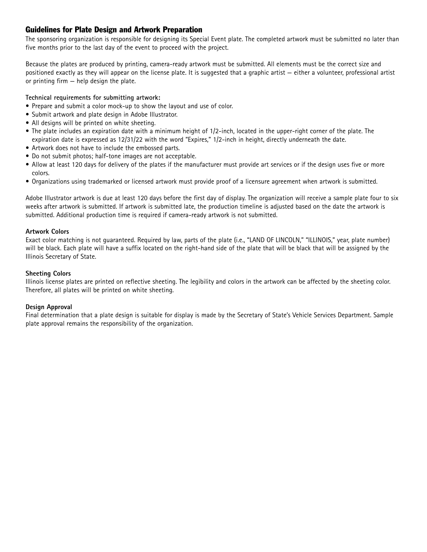# Guidelines for Plate Design and Artwork Preparation

The sponsoring organization is responsible for designing its Special Event plate. The completed artwork must be submitted no later than five months prior to the last day of the event to proceed with the project.

Because the plates are produced by printing, camera-ready artwork must be submitted. All elements must be the correct size and positioned exactly as they will appear on the license plate. It is suggested that a graphic artist — either a volunteer, professional artist or printing firm — help design the plate.

## **Technical requirements for submitting artwork:**

- Prepare and submit a color mock-up to show the layout and use of color.
- Submit artwork and plate design in Adobe Illustrator.
- All designs will be printed on white sheeting.
- The plate includes an expiration date with a minimum height of 1/2-inch, located in the upper-right corner of the plate. The expiration date is expressed as 12/31/22 with the word "Expires," 1/2-inch in height, directly underneath the date.
- Artwork does not have to include the embossed parts.
- Do not submit photos; half-tone images are not acceptable.
- Allow at least 120 days for delivery of the plates if the manufacturer must provide art services or if the design uses five or more colors.
- Organizations using trademarked or licensed artwork must provide proof of a licensure agreement when artwork is submitted.

Adobe Illustrator artwork is due at least 120 days before the first day of display. The organization will receive a sample plate four to six weeks after artwork is submitted. If artwork is submitted late, the production timeline is adjusted based on the date the artwork is submitted. Additional production time is required if camera-ready artwork is not submitted.

#### **Artwork Colors**

Exact color matching is not guaranteed. Required by law, parts of the plate (i.e., "LAND OF LINCOLN," "ILLINOIS," year, plate number) will be black. Each plate will have a suffix located on the right-hand side of the plate that will be black that will be assigned by the Illinois Secretary of State.

## **Sheeting Colors**

Illinois license plates are printed on reflective sheeting. The legibility and colors in the artwork can be affected by the sheeting color. Therefore, all plates will be printed on white sheeting.

#### **Design Approval**

Final determination that a plate design is suitable for display is made by the Secretary of State's Vehicle Services Department. Sample plate approval remains the responsibility of the organization.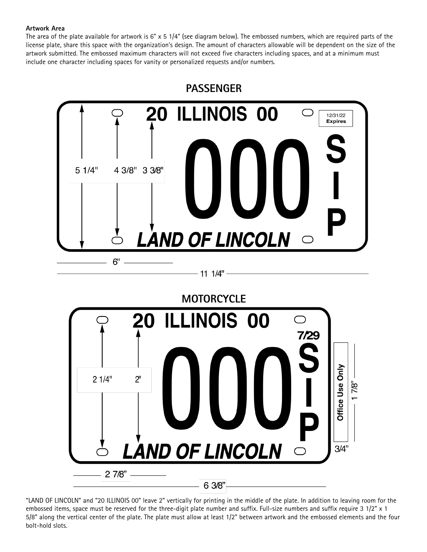## **Artwork Area**

The area of the plate available for artwork is  $6" \times 5$  1/4" (see diagram below). The embossed numbers, which are required parts of the license plate, share this space with the organization's design. The amount of characters allowable will be dependent on the size of the artwork submitted. The embossed maximum characters will not exceed five characters including spaces, and at a minimum must include one character including spaces for vanity or personalized requests and/or numbers.



"LAND OF LINCOLN" and "20 ILLINOIS 00" leave 2" vertically for printing in the middle of the plate. In addition to leaving room for the embossed items, space must be reserved for the three-digit plate number and suffix. Full-size numbers and suffix require 3 1/2" x 1 5/8" along the vertical center of the plate. The plate must allow at least 1/2" between artwork and the embossed elements and the four bolt-hold slots.

6 3/8"

**LAND OF LINCOLN** 

 $27/8"$ 

 $3/4"$